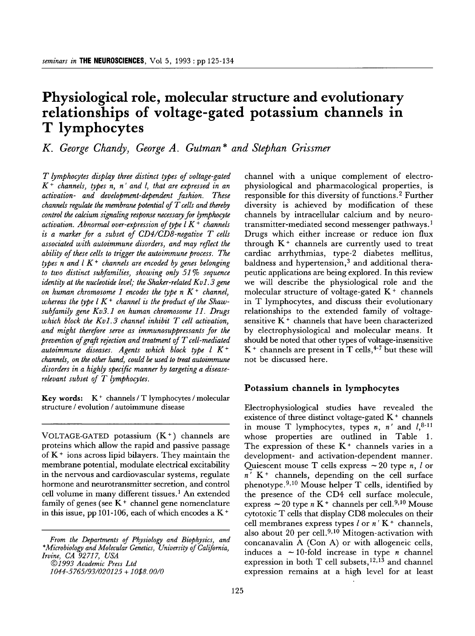# **Physiological role, molecular structure and evolutionary relationships of voltage-gated potassium channels in T lymphocytes**

*K. George Chandy, George A. Gutman\* and Stephan Grissmer* 

*T lymphocytes display three distinct types of voltage-gated K + channels, types n, n' and l, that are expressed in an activation- and development-dependent fashion. These channels regulate the membrane potential of T cells and thereby control the calcium signaling response necessary for lymphocyte activation. Abnormal over-expression of type l K + channels is a marker for a subset of CD4/CD8-negative T cells associated with autoimmune disorders, and may reflect the ability of these cells to trigger the autoimmune process. The types n and l K + channels are encoded by genes belonging to two distinct subfamilies, showing only 51% sequence identity at the nucleotide level; the Shaker-related Kv1.3 gene on human chromosome 1 encodes the type n K + channel,*  whereas the type  $l K^+$  channel is the product of the Shaw*subfamily gene Kv3.1 on human chromosome 11. Drugs which block the Kvl. 3 channel inhibit T cell activation, and might therefore serve as immunosuppressants for the prevention of graft rejection and treatment of T cell-mediated autoimmune diseases. Agents which block type l K + channels, on the other hand, could be used to treat autoimmune disorders in a highly specific manner by targeting a diseaserelevant subset of T lymphocytes.* 

**Key words:**  $K^+$  channels /  $T$  lymphocytes / molecular structure / evolution / autoimmune disease

VOLTAGE-GATED potassium  $(K^+)$  channels are proteins which allow the rapid and passive passage of  $K<sup>+</sup>$  ions across lipid bilayers. They maintain the membrane potential, modulate electrical excitability in the nervous and cardiovascular systems, regulate hormone and neurotransmitter secretion, and control cell volume in many different tissues.<sup>1</sup> An extended family of genes (see  $K^+$  channel gene nomenclature in this issue, pp 101-106, each of which encodes a  $K^+$ 

*9 1993 Academic Press Ltd* 

channel with a unique complement of electrophysiological and pharmacological properties, is responsible for this diversity of functions. 2 Further diversity is achieved by modification of these channels by intracellular calcium and by neurotransmitter-mediated second messenger pathways. 1 Drugs which either increase or reduce ion flux through  $K<sup>+</sup>$  channels are currently used to treat cardiac arrhythmias, type-2 diabetes mellitus, baldness and hypertension,<sup>3</sup> and additional therapeutic applications are being explored. In this review we will describe the physiological role and the molecular structure of voltage-gated  $K^+$  channels in T lymphocytes, and discuss their evolutionary relationships to the extended family of voltagesensitive  $K<sup>+</sup>$  channels that have been characterized by electrophysiological and molecular means. It should be noted that other types of voltage-insensitive  $K^+$  channels are present in T cells,  $4-7$  but these will not be discussed here.

#### **Potassium channels in lymphocytes**

Electrophysiological studies have revealed the existence of three distinct voltage-gated  $K<sup>+</sup>$  channels in mouse T lymphocytes, types n, n' and  $l_1^{8-11}$ whose properties are outlined in Table 1. The expression of these  $K^+$  channels varies in a development- and activation-dependent manner. Quiescent mouse T cells express  $\sim 20$  type n, l or  $n'$  K<sup>+</sup> channels, depending on the cell surface phenotype.<sup>9,10</sup> Mouse helper T cells, identified by the presence of the CD4 cell surface molecule, express  $\sim$  20 type n K<sup>+</sup> channels per cell.<sup>9,10</sup> Mouse cytotoxic T cells that display CD8 molecules on their cell membranes express types  $l$  or  $n'$  K  $+$  channels, also about 20 per cell.<sup>9,10</sup> Mitogen-activation with concanavalin A (Con A) or with allogeneic cells, induces a  $\sim$  10-fold increase in type *n* channel expression in both T cell subsets,  $12,13$  and channel expression remains at a high level for at least

*From the Departments of Physiology and Biophysics, and \*Microbiology and Molecular Genetics, University of California, Irvine, CA 92717, USA* 

*<sup>1044 -5 765/93/020125 + 1058. 00/0</sup>*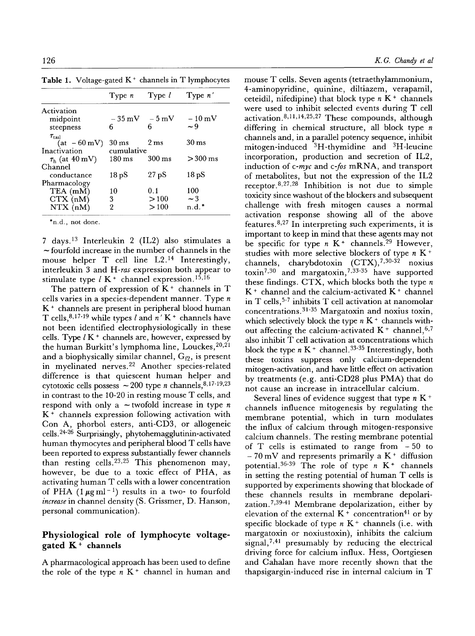| Type $n'$          |
|--------------------|
|                    |
| $-10\,\mathrm{mV}$ |
| $\sim$ 9           |
|                    |
| 30 ms              |
|                    |
| $>300$ ms          |
|                    |
| 18pS               |
|                    |
| 100                |
| $\sim$ 3           |
| $n.d.*$            |
|                    |

Table 1. Voltage-gated  $K^+$  channels in T lymphocytes

\*n.d., not done.

7 days. 13 Interleukin 2 (IL2) also stimulates a  $\sim$  fourfold increase in the number of channels in the mouse helper T cell line L2.14 Interestingly, interleukin 3 and *H-ras* expression both appear to stimulate type  $l K^+$  channel expression.<sup>15,16</sup>

The pattern of expression of  $K<sup>+</sup>$  channels in T cells varies in a species-dependent manner. Type  $n$  $K<sup>+</sup>$  channels are present in peripheral blood human T cells,  $8,17-19$  while types l and  $n' K<sup>+</sup>$  channels have not been identified electrophysiologically in these cells. Type  $l K^{+}$  channels are, however, expressed by the human Burkitt's lymphoma line, Louckes,  $20,21$ and a biophysically similar channel,  $G_{f2}$ , is present in myelinated nerves.<sup>22</sup> Another species-related difference is that quiescent human helper and cytotoxic cells possess  $\sim$  200 type *n* channels, 8,17-19,23 in contrast to the 10-20 in resting mouse T cells, and respond with only a  $\sim$  twofold increase in type n  $K<sup>+</sup>$  channels expression following activation with Con A, phorbol esters, anti-CD3, or allogeneic cells. 2426 Surprisingly, phytohemagglutinin-activated human thymocytes and peripheral blood T cells have been reported to express substantially fewer channels than resting cells. 23,25 This phenomenon may, however, be due to a toxic effect of PHA, as activating human T cells with a lower concentration of PHA  $(1 \mu g \text{ ml}^{-1})$  results in a two- to fourfold *increase* in channel density (S. Grissmer, D. Hanson, personal communication).

## **Physiological role of lymphocyte voltagegated** K + **channels**

A pharmacological approach has been used to define the role of the type  $n K<sup>+</sup>$  channel in human and mouse T cells. Seven agents (tetraethylammonium, 4-aminopyridine, quinine, diltiazem, verapamil, ceteidil, nifedipine) that block type  $n K<sup>+</sup>$  channels were used to inhibit selected events during T cell activation.  $8,11,14,25,27$  These compounds, although differing in chemical structure, all block type  $n$ channels and, in a parallel potency sequence, inhibit mitogen-induced  ${}^{3}H$ -thymidine and  ${}^{3}H$ -leucine incorporation, production and secretion of IL2, induction of *c-myc* and *c-fos* mRNA, and transport of metabolites, but not the expression of the IL2 receptor. 8,27,28 Inhibition is not due to simple toxicity since washout of the blockers and subsequent challenge with fresh mitogen causes a normal activation response showing all of the above features.  $8,27$  In interpreting such experiments, it is important to keep in mind that these agents may not be specific for type  $n K^+$  channels.<sup>29</sup> However, studies with more selective blockers of type  $n K$ <sup>+</sup> channels, charybdotoxin  $(CTX),^{7,30-32}$  noxius toxin<sup>7,30</sup> and margatoxin,<sup>7,33-35</sup> have supported these findings. CTX, which blocks both the type  $n$  $K^+$  channel and the calcium-activated  $K^+$  channel in T cells,  $5-7$  inhibits T cell activation at nanomolar concentrations.  $31-35$  Margatoxin and noxius toxin, which selectively block the type  $n K<sup>+</sup>$  channels without affecting the calcium-activated  $K^+$  channel,  $6,7$ also inhibit T cell activation at concentrations which block the type  $n K^+$  channel.<sup>33-35</sup> Interestingly, both these toxins suppress only calcium-dependent mitogen-activation, and have little effect on activation by treatments (e.g. anti-CD28 plus PMA) that do not cause an increase in intracellular calcium.

Several lines of evidence suggest that type  $n K^+$ channels influence mitogenesis by regulating the membrane potential, which in turn modulates the influx of calcium through mitogen-responsive calcium channels. The resting membrane potential of T cells is estimated to range from  $-50$  to  $-70$  mV and represents primarily a K<sup>+</sup> diffusion potential.  $36-39$  The role of type n K<sup>+</sup> channels in setting the resting potential of human T cells is supported by experiments showing that blockade of these channels results in membrane depolarization.7,39-41 Membrane depolarization, either by elevation of the external  $K^+$  concentration<sup>41</sup> or by specific blockade of type  $n K<sup>+</sup>$  channels (i.e. with margatoxin or noxiustoxin), inhibits the calcium signal,  $7,41$  presumably by reducing the electrical driving force for calcium influx. Hess, Oortgiesen and Cahalan have more recently shown that the thapsigargin-induced rise in internal calcium in T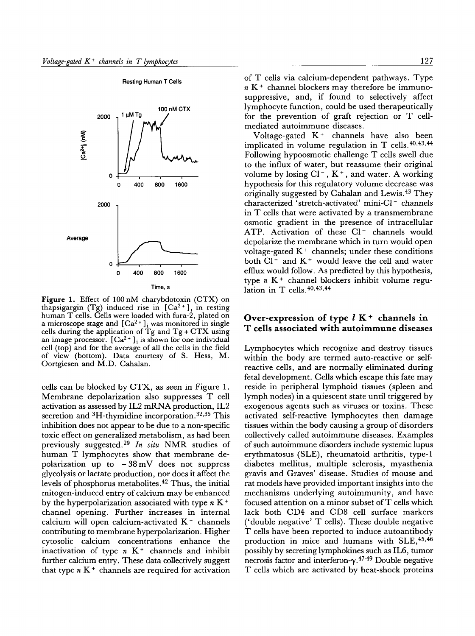

Figure 1. Effect of I00 nM charybdotoxin (CTX) on thapsigargin (Tg) induced rise in  $[Ca^{2+}]$ , in resting human T cells. Cells were loaded with fura-2, plated on a microscope stage and  $[Ca<sup>2+</sup>]$ <sub>i</sub> was monitored in single cells during the application of Tg and  $Tg + CTX$  using an image processor.  $[Ca^{2+}]$ <sub>i</sub> is shown for one individual cell (top) and for the average of all the cells in the field of view (bottom). Data courtesy of S. Hess, M. Oortgiesen and M.D. Cahalan.

cells can be blocked by CTX, as seen in Figure 1. Membrane depolarization also suppresses T cell activation as assessed by IL2 mRNA production, IL2 secretion and  ${}^{3}H$ -thymidine incorporation.<sup>32,35</sup> This inhibition does not appear to be due to a non-specific toxic effect on generalized metabolism, as had been previously suggested. 29 *In situ* NMR studies of human T lymphocytes show that membrane depolarization up to  $-38 \text{ mV}$  does not suppress glycolysis or lactate production, nor does it affect the levels of phosphorus metabolites. 49 Thus, the initial mitogen-induced entry of calcium may be enhanced by the hyperpolarization associated with type  $n K^+$ channel opening. Further increases in internal calcium will open calcium-activated  $K<sup>+</sup>$  channels contributing to membrane hyperpolarization. Higher cytosolic calcium concentrations enhance the inactivation of type  $n K<sup>+</sup>$  channels and inhibit further calcium entry. These data collectively suggest that type  $n K<sup>+</sup>$  channels are required for activation

**Resting** Human T **Cells** 

of T cells via calcium-dependent pathways. Type  $n K<sup>+</sup>$  channel blockers may therefore be immunosuppressive, and, if found to selectively affect lymphocyte function, could be used therapeutically for the prevention of graft rejection or T cellmediated autoimmune diseases.

Voltage-gated  $K<sup>+</sup>$  channels have also been implicated in volume regulation in T cells.  $40,43,44$ Following hypoosmotic challenge T cells swell due to the influx of water, but reassume their original volume by losing Cl<sup>-</sup>, K<sup>+</sup>, and water. A working hypothesis for this regulatory volume decrease was originally suggested by Cahalan and Lewis. 43 They characterized 'stretch-activated' mini-Cl- channels in T cells that were activated by a transmembrane osmotic gradient in the presence of intracellular ATP. Activation of these Cl- channels would depolarize the membrane which in turn would open voltage-gated  $K<sup>+</sup>$  channels; under these conditions both  $Cl^-$  and  $K^+$  would leave the cell and water efflux would follow. As predicted by this hypothesis, type  $n K<sup>+</sup>$  channel blockers inhibit volume regulation in T cells.  $40,43,44$ 

## Over-expression of type  $l K<sup>+</sup>$  channels in **T cells associated with autoimmune diseases**

Lymphocytes which recognize and destroy tissues within the body are termed auto-reactive or selfreactive cells, and are normally eliminated during fetal development. Cells which escape this fate may reside in peripheral lymphoid tissues (spleen and lymph nodes) in a quiescent state until triggered by exogenous agents such as viruses or toxins. These activated self-reactive lymphocytes then damage tissues within the body causing a group of disorders collectively called autoimmune diseases. Examples of such autoimmune disorders include systemic lupus erythmatosus (SLE), rheumatoid arthritis, type-1 diabetes mellitus, multiple sclerosis, myasthenia gravis and Graves' disease. Studies of mouse and rat models have provided important insights into the mechanisms underlying autoimmunity, and have focused attention on a minor subset of T cells which lack both CD4 and CD8 cell surface markers ('double negative' T cells). These double negative T cells have been reported to induce autoantibody production in mice and humans with SEE, 45,46 possibly by secreting lymphokines such as IL6, tumor necrosis factor and interferon- $\gamma$ .<sup>47-49</sup> Double negative T ceils which are activated by heat-shock proteins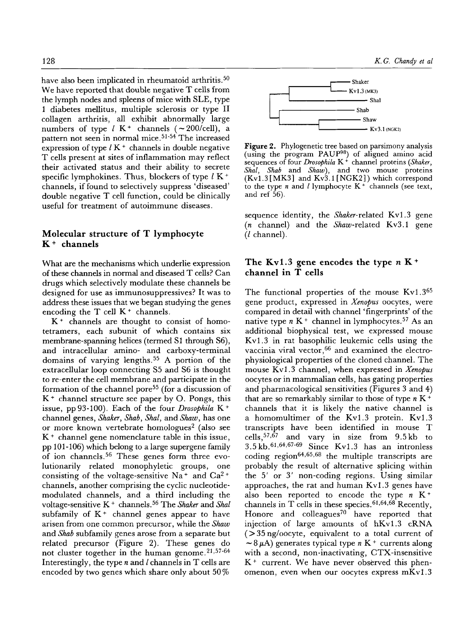have also been implicated in rheumatoid arthritis.<sup>50</sup> We have reported that double negative T cells from the lymph nodes and spleens of mice with SLE, type 1 diabetes mellitus, multiple sclerosis or type II collagen arthritis, all exhibit abnormally large numbers of type  $l$  K<sup>+</sup> channels ( $\sim$ 200/cell), a pattern not seen in normal mice. 51-54 The increased expression of type  $l K<sup>+</sup>$  channels in double negative T cells present at sites of inflammation may reflect their activated status and their ability to secrete specific lymphokines. Thus, blockers of type  $l K^+$ channels, if found to selectively suppress 'diseased' double negative T cell function, could be clinically useful for treatment of autoimmune diseases.

## Molecular structure of T **lymphocyte**  K + **channels**

What are the mechanisms which underlie expression of these channels in normal and diseased T cells? Can drugs which selectively modulate these channels be designed for use as immunosuppressives? It was to address these issues that we began studying the genes encoding the  $T$  cell  $K^+$  channels.

 $K<sup>+</sup>$  channels are thought to consist of homotetramers, each subunit of which contains six membrane-spanning helices (termed S1 through \$6), and intracellular amino- and carboxy-terminal domains of varying lengths. 55 A portion of the extracellular loop connecting \$5 and \$6 is thought to re-enter the cell membrane and participate in the formation of the channel pore<sup>55</sup> (for a discussion of  $K<sup>+</sup>$  channel structure see paper by O. Pongs, this issue, pp93-100). Each of the four *Drosophila* K + channel genes, *Shaker, Shab, Shal,* and *Shaw,* has one or more known vertebrate homologues<sup>2</sup> (also see  $K<sup>+</sup>$  channel gene nomenclature table in this issue, pp 101-106) which belong to a large supergene family of ion channels. 56 These genes form three evolutionarily related monophyletic groups, one consisting of the voltage-sensitive Na<sup>+</sup> and Ca<sup>2+</sup> channels, another comprising the cyclic nucleotidemodulated channels, and a third including the voltage-sensitive K + channels. 56 The *Shaker* and *Shal*  subfamily of  $K^+$  channel genes appear to have arisen from one common precursor, while the *Shaw*  and *Shab* subfamily genes arose from a separate but related precursor (Figure 2). These genes do not cluster together in the human genome.<sup>21,57-64</sup> Interestingly, the type  $n$  and  $l$  channels in  $T$  cells are encoded by two genes which share only about 50 %



Figure 2. Phylogenetic tree based on parsimony analysis (using the program PAUP $98$ ) of aligned amino acid sequences of four *Drosophila* K + channel proteins *(Shaker, Shal, Shab* and *Shaw),* and two mouse proteins  $(Kv1.3 [MK3]$  and  $Kv3.1 [NGK2])$  which correspond to the type *n* and *l* lymphocyte  $K^+$  channels (see text, and ref 56).

sequence identity, the *Shaker-related* Kvl.3 gene (n channel) and the *Shaw-related* Kv3.1 gene (l channel).

# The Ky1.3 gene encodes the type  $n K^+$ **channel in T cells**

The functional properties of the mouse Kv1.3<sup>65</sup> gene product, expressed in *Xenopus* oocytes, were compared in detail with channel 'fingerprints' of the native type  $n K<sup>+</sup>$  channel in lymphocytes.<sup>57</sup> As an additional biophysical test, we expressed mouse Kvl.3 in rat basophilic leukemic cells using the vaccinia viral vector, <sup>66</sup> and examined the electrophysiological properties of the cloned channel. The mouse Kvl.3 channel, when expressed in *Xenopus*  oocytes or in mammalian cells, has gating properties and pharmacological sensitivities (Figures 3 and 4) that are so remarkably similar to those of type  $n K<sup>+</sup>$ channels that it is likely the native channel is a homomultimer of the Kvl.3 protein. Kvl.3 transcripts have been identified in mouse T cells,  $57,67$  and vary in size from 9.5 kb to  $3.5 \text{ kb}.$  61,64,67-69 Since Kv1.3 has an intronless coding region<sup>64,65,68</sup> the multiple transcripts are probably the result of alternative splicing within the 5' or 3' non-coding regions. Using similar approaches, the rat and human Kvl.3 genes have also been reported to encode the type  $n K^+$ channels in T cells in these species.  $61,64,68$  Recently, Honore and colleagues<sup>70</sup> have reported that injection of large amounts of hKvl.3 eRNA  $(>35 \text{ ng/oocyte},$  equivalent to a total current of  $\sim$  8  $\mu$ A) generates typical type n K + currents along with a second, non-inactivating, CTX-insensitive  $K<sup>+</sup>$  current. We have never observed this phenomenon, even when our oocytes express mKvl.3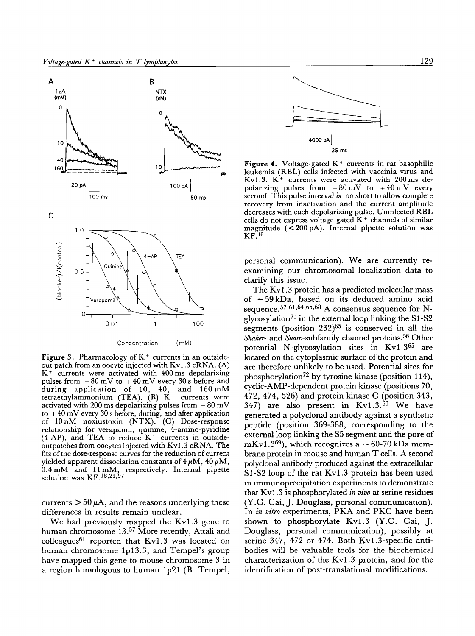

Figure 3. Pharmacology of  $K^+$  currents in an outsideout patch from an oocyte injected with Kv1.3 cRNA. (A)  $K^+$  currents were activated with 400 ms depolarizing pulses from  $-80$  mV to  $+40$  mV every 30 s before and during application of 10, 40, and 160 mM tetraethylammonium (TEA). (B) K + currents were activated with 200 ms depolarizing pulses from  $-80$  mV to  $+40 \,\mathrm{mV}$  every 30 s before, during, and after application of 10nM noxiustoxin (NTX). (C) Dose-response relationship for verapamil, quinine, 4-amino-pyridine  $(4-AP)$ , and TEA to reduce  $K<sup>+</sup>$  currents in outsideoutpatches from oocytes injected with Kv1.3 cRNA. The fits of the dose-response curves for the reduction of current yielded apparent dissociation constants of  $4 \mu M$ ,  $40 \mu M$ ,  $0.4$  mM and  $11$  mM, respectively. Internal pipette solution was  $KF^{18,21,57}$ 

currents  $> 50 \mu A$ , and the reasons underlying these differences in results remain unclear.

We had previously mapped the Kv1.3 gene to human chromosome 13.<sup>57</sup> More recently, Attali and colleagues<sup>61</sup> reported that  $Kv1.3$  was located on human chromosome Ip13.3, and Tempel's group have mapped this gene to mouse chromosome 3 in a region homologous to human lp21 (B. Tempel,



Figure 4. Voltage-gated  $K<sup>+</sup>$  currents in rat basophilic leukemia (RBL) cells infected with vaccinia virus and Kv1.3.  $K^+$  currents were activated with 200 ms depolarizing pulses from  $-80 \text{ mV}$  to  $+40 \text{ mV}$  every second. This pulse interval is too short to allow complete recovery from inactivation and the current amplitude decreases with each depolarizing pulse. Uninfected RBL cells do not express voltage-gated K + channels of similar magnitude  $( $200 \text{ pA}$ ). Internal pipette solution was$  $KF.18$ 

personal communication). We are currently reexamining our chromosomal localization data to clarify this issue.

The Kv1.3 protein has a predicted molecular mass of  $\sim$  59 kDa, based on its deduced amino acid sequence.  $57,61,64,65,68$  A consensus sequence for Nglycosylation<sup>71</sup> in the external loop linking the  $S1-S2$ segments (position  $232$ )<sup>65</sup> is conserved in all the Shaker- and Shaw-subfamily channel proteins. 56 Other potential N-glycosylation sites in Kvl.365 are located on the cytoplasmic surface of the protein and are therefore unlikely to be used. Potential sites for phosphorylation 72 by tyrosine kinase (position 114), cyclic-AMP-dependent protein kinase (positions 70, 472,474, 526) and protein kinase C (position 343, 347) are also present in  $Kv1.3$ .<sup>65</sup> We have generated a polyclonal antibody against a synthetic peptide (position 369-388, corresponding to the external loop linking the \$5 segment and the pore of mKv1.3<sup>69</sup>), which recognizes a  $\sim$  60-70 kDa membrane protein in mouse and human T cells. A second polyclonal antibody produced against the extracellular S1-S2 loop of the rat Kv1.3 protein has been used in immunoprecipitation experiments to demonstrate that Kv1.3 is phosphorylated *in vivo* at serine residues (Y.C. Cai, J. Douglass, personal communication). In *in vitro* experiments, PKA and PKC have been shown to phosphorylate Kvl.3 (Y.C. Cai, J. Douglass, personal communication), possibly at serine 347, 472 or 474. Both Kvl.3-specific antibodies will be valuable tools for the biochemical characterization of the Kvl.3 protein, and for the identification of post-translational modifications.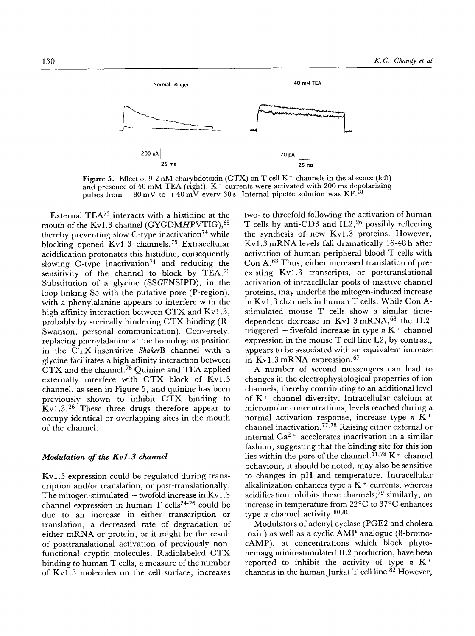

Figure 5. Effect of 9.2 nM charybdotoxin (CTX) on T cell  $K^+$  channels in the absence (left) and presence of  $40 \text{ mM}$  TEA (right). K<sup>+</sup> currents were activated with 200 ms depolarizing pulses from  $-80$  mV to  $+40$  mV every 30 s. Internal pipette solution was KF.<sup>18</sup>

External TEA<sup>73</sup> interacts with a histidine at the mouth of the Kv1.3 channel (GYGDMHPVTIG), 65 thereby preventing slow C-type inactivation<sup>74</sup> while blocking opened Kvl.3 channels. 75 Extracellular acidification protonates this histidine, consequently slowing C-type inactivation<sup>74</sup> and reducing the sensitivity of the channel to block by  $TEA.73$ Substitution of a glycine (SSGFNSIPD), in the loop linking S5 with the putative pore (P-region), with a phenylalanine appears to interfere with the high affinity interaction between CTX and Kv1.3, probably by sterically hindering CTX binding (R. Swanson, personal communication). Conversely, replacing phenylalanine at the homologous position in the CTX-insensitive *ShakerB* channel with a glycine facilitates a high affinity interaction between CTX and the channel.76 Quinine and TEA applied externally interfere with CTX block of Kvl.3 channel, as seen in Figure 5, and quinine has been previously shown to inhibit CTX binding to Kvl.3. 26 These three drugs therefore appear to occupy identical or overlapping sites in the mouth of the channel.

#### *Modulation of the Kvl.3 channel*

Kvl.3 expression could be regulated during transcription and/or translation, or post-translationally. The mitogen-stimulated  $\sim$  twofold increase in Kv1.3 channel expression in human  $T$  cells<sup>24-26</sup> could be due to an increase in either transcription or translation, a decreased rate of degradation of either mRNA or protein, or it might be the result of posttranslational activation of previously nonfunctional cryptic molecules. Radiolabeled CTX binding to human T cells, a measure of the number of Kvl.3 molecules on the cell surface, increases two- to threefold following the activation of human T cells by anti-CD3 and IL2, 26 possibly reflecting the synthesis of new Kvl.3 proteins. However, Kvl.3 mRNA levels fall dramatically 16-48 h after activation of human peripheral blood T cells with Con A. 68 Thus, either increased translation of preexisting Kvl.3 transcripts, or posttranslational activation of intracellular pools of inactive channel proteins, may underlie the mitogen-induced increase in Kv1.3 channels in human T cells. While Con Astimulated mouse T cells show a similar timedependent decrease in  $Kv1.3$  mRNA,  $68$  the IL2triggered  $\sim$  fivefold increase in type  $n K^+$  channel expression in the mouse T cell line L2, by contrast, appears to be associated with an equivalent increase in Kvl.3 mRNA expression. 67

A number of second messengers can lead to changes in the electrophysiological properties of ion channels, thereby contributing to an additional level of K<sup>+</sup> channel diversity. Intracellular calcium at micromolar concentrations, levels reached during a normal activation response, increase type  $n \tilde{K}^+$ channel inactivation. 77,78 Raising either external or internal Ca<sup>2+</sup> accelerates inactivation in a similar fashion, suggesting that the binding site for this ion lies within the pore of the channel.<sup>11,78</sup> K + channel behaviour, it should be noted, may also be sensitive to changes in pH and temperature. Intracellular alkalinization enhances type  $n K<sup>+</sup>$  currents, whereas acidification inhibits these channels;<sup>79</sup> similarly, an increase in temperature from  $22^{\circ}C$  to  $37^{\circ}C$  enhances type *n* channel activity.  $80,81$ 

Modulators of adenyl cyclase (PGE2 and cholera toxin) as well as a cyclic AMP analogue (8-bromocAMP), at concentrations which block phytohemagglutinin-stimulated IL2 production, have been reported to inhibit the activity of type  $n K^+$ channels in the human Jurkat T cell line. 82 However,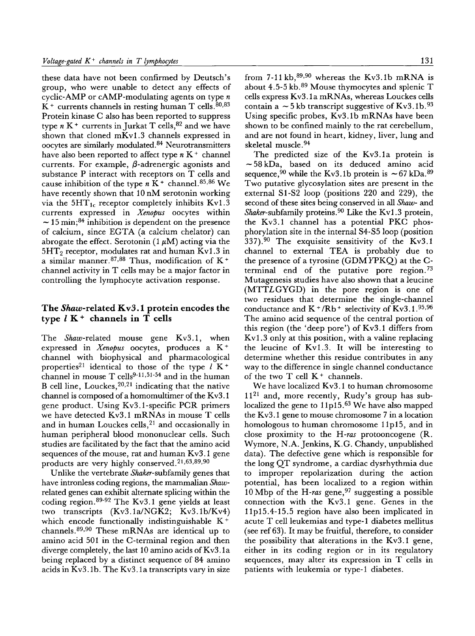these data have not been confirmed by Deutsch's group, who were unable to detect any effects of cyclic-AMP or cAMP-modulating agents on type  $n$  $K<sup>+</sup>$  currents channels in resting human T cells.  $80,83$ Protein kinase C also has been reported to suppress type  $n K<sup>+</sup>$  currents in Jurkat T cells,  $82$  and we have shown that cloned mKvl.3 channels expressed in oocytes are similarly modulated. 84 Neurotransmitters have also been reported to affect type  $n K<sup>+</sup>$  channel currents. For example,  $\beta$ -adrenergic agonists and substance P interact with receptors on T cells and cause inhibition of the type  $n\bar{K}^+$  channel. 85,86 We have recently shown that 10 nM serotonin working via the  $5HT_{1c}$  receptor completely inhibits Kv1.3 currents expressed in *Xenopus* oocytes within  $\sim$  15 min;<sup>84</sup> inhibition is dependent on the presence of calcium, since EGTA (a calcium chelator) can abrogate the effect. Serotonin  $(1 \mu M)$  acting via the  $5HT_2$  receptor, modulates rat and human Kv1.3 in a similar manner.<sup>87,88</sup> Thus, modification of  $K^+$ channel activity in T cells may be a major factor in controlling the lymphocyte activation response.

## **The** Shaw-related Kv3.1 **protein encodes the type l K + channels in T cells**

The *Shaw-related* mouse gene Kv3.1, when expressed in *Xenopus* oocytes, produces a K + channel with biophysical and pharmacological properties<sup>21</sup> identical to those of the type  $l K^+$ channel in mouse  $T$  cells<sup>9-11,51-54</sup> and in the human B cell line, Louckes, 20,21 indicating that the native channel is composed of a homomultimer of the Kv3.1 gene product. Using Kv3.1-specific PCR primers we have detected Kv3.1 mRNAs in mouse T cells and in human Louckes cells, $2<sup>1</sup>$  and occasionally in human peripheral blood mononuclear cells. Such studies are facilitated by the fact that the amino acid sequences of the mouse, rat and human Kv3.1 gene products are very highly conserved.  $21,63,89,90$ 

Unlike the vertebrate *Shaker-subfamily* genes that have intronless coding regions, the mammalian *Shaw*related genes can exhibit alternate splicing within the coding region.  $89-92$  The Kv3.1 gene yields at least two transcripts (Kv3.1a/NGK2; Kv3.1b/Kv4) which encode functionally indistinguishable K<sup>+</sup> channels.  $89,90$  These mRNAs are identical up to amino acid 501 in the C-terminal region and then diverge completely, the last 10 amino acids of Kv3. la being replaced by a distinct sequence of 84 amino acids in Kv3. lb. The Kv3. la transcripts vary in size from  $7-11$  kb,  $89,90$  whereas the Kv3.1b mRNA is about 4.5-5 kb. 89 Mouse thymocytes and splenic T cells express Kv3. la mRNAs, whereas Louckes cells contain a  $\sim$  5 kb transcript suggestive of Kv3.1b.<sup>93</sup> Using specific probes, Kv3. lb mRNAs have been shown to be confined mainly to the rat cerebellum, and are not found in heart, kidney, liver, lung and skeletal muscle. 94

The predicted size of the Kv3.1a protein is  $\sim$  58 kDa, based on its deduced amino acid sequence, <sup>90</sup> while the Kv3.1b protein is  $\sim 67$  kDa.<sup>89</sup> Two putative glycosylation sites are present in the external S1-S2 loop (positions 220 and 229), the second of these sites being conserved in all *Shaw- and*  Shaker-subfamily proteins.<sup>90</sup> Like the Kv1.3 protein, the Kv3.1 channel has a potential PKC phosphorylation site in the internal \$4-\$5 loop (position 337).<sup>90</sup> The exquisite sensitivity of the Kv3.1 channel to external TEA is probably due to the presence of a tyrosine (GDM YPKQ) at the Cterminal end of the putative pore region. 73 Mutagenesis studies have also shown that a leucine (MTTLGYGD) in the pore region is one of two residues that determine the single-channel conductance and  $K^+/Rb^+$  selectivity of  $Kv3.1.^{95,96}$ The amino acid sequence of the central portion of this region (the 'deep pore') of Kv3.1 differs from Kv1.3 only at this position, with a valine replacing the leucine of Kvl.3. It will be interesting to determine whether this residue contributes in any way to the difference in single channel conductance of the two  $T$  cell  $K^+$  channels.

We have localized Kv3.1 to human chromosome  $11^{21}$  and, more recently, Rudy's group has sublocalized the gene to  $11p15$ .<sup>63</sup> We have also mapped the Kv3.1 gene to mouse chromosome 7 in a location homologous to human chromosome 11p15, and in close proximity to the *H-ras* protooncogene (R. Wymore, N.A. Jenkins, K.G. Chandy, unpublished data). The defective gene which is responsible for the long QT syndrome, a cardiac dysrhythmia due to improper repolarization during the action potential, has been localized to a region within 10 Mbp of the *H-ras* gene, 97 suggesting a possible connection with the Kv3.1 gene. Genes in the 11p15.4-15.5 region have also been implicated in acute T cell leukemias and type-1 diabetes mellitus (see ref 63). It may be fruitful, therefore, to consider the possibility that alterations in the Kv3.1 gene, either in its coding region or in its regulatory sequences, may alter its expression in T cells **in**  patients with leukemia or type-1 diabetes.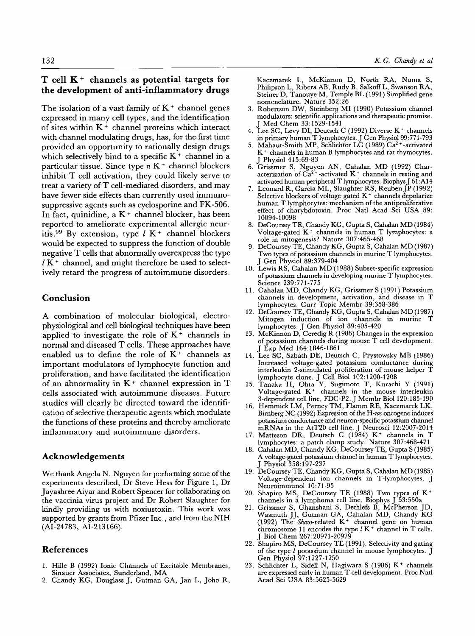## T cell  $K<sup>+</sup>$  channels as potential targets for the development of anti-inflammatory drugs

The isolation of a vast family of  $K^+$  channel genes expressed in many cell types, and the identification of sites within  $K<sup>+</sup>$  channel proteins which interact with channel modulating drugs, has, for the first time provided an opportunity to rationally design drugs which selectively bind to a specific  $K^+$  channel in a particular tissue. Since type  $n K<sup>+</sup>$  channel blockers inhibit T cell activation, they could likely serve to treat a variety of T cell-mediated disorders, and may have fewer side effects than currently used immunosuppressive agents such as cyclosporine and FK-506. In fact, quinidine,  $a K$  + channel blocker, has been reported to ameliorate experimental allergic neuritis.<sup>99</sup> By extension, type  $l K^+$  channel blockers would be expected to suppress the function of double negative T cells that abnormally overexpress the type  $l K<sup>+</sup>$  channel, and might therefore be used to selectively retard the progress of autoimmune disorders.

## **Conclusion**

A combination of molecular biological, electrophysiological and cell biological techniques have been applied to investigate the role of  $K^+$  channels in normal and diseased T cells. These approaches have enabled us to define the role of  $K<sup>+</sup>$  channels as important modulators of lymphocyte function and proliferation, and have facilitated the identification of an abnormality in  $K^+$  channel expression in T cells associated with autoimmune diseases. Future studies will clearly be directed toward the identification of selective therapeutic agents which modulate the functions of these proteins and thereby ameliorate inflammatory and autoimmune disorders.

#### **Acknowledgements**

We thank Angela N. Nguyen for performing some of the experiments described, Dr Steve Hess for Figure 1, Dr Jayashree Aiyar and Robert Spencer for collaborating on the vaccinia virus project and Dr Robert Slaughter for kindly providing us with noxiustoxin. This work was supported by grants from Pfizer Inc., and from the NIH (AI-24783, AI-213166).

## **References**

- 1. Hille B (1992) Ionic Channels of Excitable Membranes, Sinauer Associates, Sunderland, MA
- 2. Chandy KG, Douglass J, Gutman GA, Jan L, Joho R,

Kaczmarek L, McKinnon D, North RA, Numa S, Philipson L, Ribera AB, Rudy B, Salkoff L, Swanson RA, Steiner D, Tanouye M, Temple BL (1991) Simplified gene nomenclature. Nature 352:26

- 3. Robertson DW, Steinberg MI (1990) Potassium channel modulators: scientific applications and therapeutic promise. J Med Chem 33:1529-1541
- 4. Lee SC, Levy DI, Deutsch C (1992) Diverse  $K^+$  channels in primary human T lymphocytes. J Gen Physio199:771-793
- 5. Mahaut-Smith MP, Schlichter LC (1989)  $Ca^{2+}$ -activated K + channels in human B lymphocytes and rat thymocytes. J Physiol 415:69-83
- 6. Grissmer S, Nguyen AN, Cahalan MD (1992) Characterization of  $Ca^{2+}$ -activated K<sup>+</sup> channels in resting and activated human peripheral T lymphocytes. Biophys J 61 :A14
- 7. Leonard R, Garcia ML, Slaughter RS, ReubenJP (1992) Selective blockers of voltage-gated  $K^+$  channels depolarize human T lymphocytes: mechanism of the antiproliferative effect of charybdotoxin. Proc Natl Acad Sci USA 89: 10094-10098
- 8. DeCoursey TE, Chandy KG, Gupta S, Cahalan MD (1984) Voltage-gated  $K^+$  channels in human T lymphocytes: a role in mitogenesis? Nature 307:465-468
- 9. DeCoursey TE, Chandy KG, Gupta S, Cahalan MD (1987) Two types of potassium channels in murine T lymphocytes. J Gen Physiol 89:379-404
- 10. Lewis RS, Cahalan MD (1988) Subset-specific expression of potassium channels in developing murine T lymphocytes. Science 239:771-775
- 11. Cahalan MD, Chandy KG, Grissmer S (1991) Potassium channels in development, activation, and disease in T lymphocytes. Curr Topic Membr 39:358-386
- 12. DeCoursey TE, Chandy KG, Gupta S, Cahalan MD (1987) Mitogen induction of ion channels in murine T lymphocytes. J Gen Physiol 89:405-420
- 13. McKinnon D, Ceredig R (1986) Changes in the expression of potassium channels during mouse T cell development. J Exp Med 164:1846-1861
- 14. Lee SC, Sabath DE, Deutsch C, Prystowsky MB (1986) Increased voltage-gated potassium conductance during interleukin 2-stimulated proliferation of mouse helper T lymphocyte clone. J Cell Biol 102:1200-1208
- 15. Tanaka H, Ohta Y, Sugimoto T, Kurachi Y (1991) Voltage-gated  $K^+$  channels in the mouse interleukin 3-dependent cell line, FDC-P2. J Membr Biol 120:185-190
- 16. Hemmick LM, Perney TM, Flamm RE, Kaczmarek LK, Birnberg NC (1992) Expression of the H-ras oncogene induces potassium conductance and neuron-specific potassium channel mRNAs in the AtT20 cell line. J Neurosci 12:2007-2014
- 17. Matteson DR, Deutsch C  $(1984)$  K<sup>+</sup> channels in T lymphocytes: a patch clamp study. Nature 307:468-471
- 18. Cahalan MD, Chandy KG, DeCoursey TE, Gupta S (1985) A voltage-gated potassium channel in human T lymphocytes. J Physiol 358:197-237
- 19. DeCoursey TE, Chandy KG, Gupta S, Cahalan MD (1985) Voltage-dependent ion channels in T-lymphocytes. J Neuroimmunol 10:71-95
- 20. Shapiro MS, DeCoursey TE (1988) Two types of K + channels in a lymphoma cell line. Biophys J 53:550a
- 21. Grissmer S, Ghanshani S, Dethlefs B, McPherson JD, Wasmuth JJ, Gutman GA, Cahalan MD, Chandy KG (1992) The *Shaw-related* K<sup>+</sup> channel gene on human chromosome 11 encodes the type  $l K^+$  channel in T cells. J Biol Chem 267:20971-20979
- 22. Shapiro MS, DeCoursey TE (1991). Selectivity and gating of the type I potassium channel in mouse lymphocytes. J Gen Physiol 97:1227-1250
- 23. Schlichter L, Sidell N, Hagiwara S (1986) K + channels are expressed early in human T cell development. Proc Natl Acad Sci USA 83:5625-5629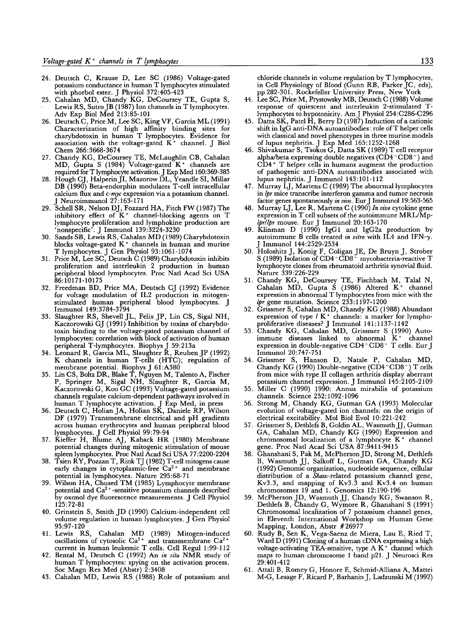- 24. Deutsch C, Krause D, Lee SC (1986) Voltage-gated potassium conductance in human T lymphocytes stimulated with phorbol ester. J Physiol 372:405-423
- 25. Cahalan MD, Chandy KG, DeCoursey TE, Gupta S, Lewis RS, Sutro JB (1987) Ion channels in T lymphocytes. Adv Exp Biol Med 213:85-101
- 26. Deutsch C, Price M, Lee SC, King VF, Garcia ML (1991) Characterization of high affinity binding sites for charybdotoxin in human T lymphocytes. Evidence for association with the voltage-gated  $K^+$  channel. J Biol Chem 266:3668-3674
- 27. Chandy KG, DeCoursey TE, MeLaughlin CB, Cahalan MD, Gupta S (1984) Voltage-gated  $K^+$  channels are required for T lymphocyte activation. J Exp Med 160:369-385
- 28. Hough CJ, Halperin JI, Mazorow DL, Yeandle SI, Millar DB (1990) Beta-endorphin modulates T-cell intracellular calcium flux and *c-myc* expression via a potassium channel. J Neuroimmunol 27:163-171
- 29. Schell SR, Nelson DJ, Fozzard HA, Fitch FW (1987) The inhibitory effect of  $K^+$  channel-blocking agents on T lymphocyte proliferation and lymphokine production are 'nonspecific'. J Immunol 139:3224-3230
- 30. Sands SB, Lewis RS, Cahalan MD (1989) Charybdotoxin blocks voltage-gated  $K^+$  channels in human and murine T lymphocytes. J Gen Physiol 93:1061-1074
- 31. Price M, Lee SC, Deutsch C (1989) Charybdotoxin inhibits proliferation and interleukin 2 production in human peripheral blood lymphocytes. Proc Natl Acad Sci USA 86:10171-10175
- 32. Freedman BD, Price MA, Deutsch CJ (1992) Evidence for voltage modulation of IL2 production in mitogenstimulated human peripheral blood lymphocytes. J Immunol 149:3784-3794
- 33. Slaughter RS, Shevell JL, Felix JP, Lin CS, Sigal NH, Kaczorowski GJ (1991) Inhibition by toxins of charybdotoxin binding to the voltage-gated potassium channel of lymphocytes: correlation with block of activation of human peripheral T-lymphocytes. Biophys J 59:213a
- 34. Leonard R, Garcia ML, Slaughter R, Reuben JP (1992) K channels in human T-cells (HTC); regulation of membrane potential. Biophys J 61:A380
- 35. Lin CS, Boltz DR, Blake T, Nguyen M, Talento A, Fischer P, Springer M, Sigal NH, Slaughter R, Garcia M, Kaczorowski G, Koo GC (1993) Voltage-gated potassium channels regulate calcium-dependent pathways *involved in*  human T lymphocyte activation. J Exp Med, in press
- 36. Deutsch C, Holian JA, Holian SK, Daniele RP, Wilson DF (1979) Transmembrane electrical and pH gradients across human erythrocytes and human peripheral blood lymphocytes. J Cell Physiot 99:79-94
- 37. Kieffer H, Blume AJ, Kaback HR (1980) Membrane potential changes during mitogenic stimulation of mouse spleen lymphocytes. Proc Nad Acad Sci USA 77:2200-2204
- 38. Tsien RY, Pozzan T, Rink TJ (1982) T-cefl mitogens cause early changes in cytoplasmic-free  $Ca^{2+}$  and membrane potential in lymphocytes. Nature 295:68-71
- 39. Wilson HA, Chused TM (1985) Lymphocyte membrane potential and Ca<sup>2+</sup>-sensitive potassium channels described by oxonol dye fluorescence measurements. J Cell Physiol 125:72-81
- 40. Grinstein S, Smith JD (1990) Calcium-independent cell volume regulation in human lymphocytes. J Gen Physiol 95:97-120<br>41. Lewis RS,
- Cahalan MD (1989) Mitogen-induced oscillations of cytosolic  $Ca^{2+}$  and transmembrane  $Ca^{2+}$ current in human leukemic T cells. Cell Regul 1:99-112
- 42. Bental M, Deutsch C (1992) An *in situ* NMR study of human T lymphocytes: spying on the activation process. Soc Magn Res Med (Abstr) 2:3408
- 43. Cahalan MD, Lewis RS (1988) Role of potassium and

chloride channels in volume regulation by T lymphocytes, in Cell Physiology of Blood (Gunn RB, Parker JC, eds), pp 282-301. Rockefeller University Press, New York

- 44. Lee SC, Price M, Prystowsky MB, Deutsch C (1988) Volume response of quiescent and interleukin 2-stimulated Tlymphocytes to hypotonicity. AmJ Physiol 254:C286-C296
- 45. Datta SK, Patel H, Berry D (1987) Induction of a cationic shift in IgG anti-DNA autoantibodies: role ofT helper cells with classical and novel phenotypes in three murine models of lupus nephritis. J Exp Med 165:1252-1268
- 46. Shivakumar S, Tsokos G, Datta SK (1989) T cell receptor alpha/beta expressing double negatives (CD4-CD8-) and CD4 + T helper cells in humans augment the production of pathogenic anti-DNA autoantibodies associated with lupus nephritis. J Immunol 143:101-112
- 47. Murray LJ, Martens C (1989) The abnormal lymphocytes in *lpr* mice transcribe interferon gamma and tumor necrosis factor genes spontaneously *in vivo.* EurJ Immunol 19:563-565
- 48. Murray LJ, Lee R, Martens C (1990) In vivo cytokine gene expression in T cell subsets of the autoimmune MRL/Mp*lpr/lpr* mouse. Eur J Immunol 20:163-170
- 49. Klinman D (1990) IgG1 and IgG2a production by autoimmune B cells treated *in vitro* with IL4 and IFN- $\gamma$ . J Immunol 144:2529-2534
- 50. Holoshitz J, Konig F, Coligan JE, De Bruyn J, Strober S (1989) Isolation of CD4-CD8- mycobacteria-reactive T lymphocyte clones from rheumatoid arthritis synovial fluid. Nature 339:226-229
- 51. Chandy KG, DeCoursey TE, Fischbach M, Talal N, Cahalan MD, Gupta S (1986) Altered  $K^+$  channel expression in abnormal T lymphocytes from mice with the *lpr* gene mutation. Science 233:1197-1200
- 52. Grissmer S, Cahalan MD, Chandy KG (1988) Abundant expression of type  $l K^+$  channels: a marker for lymphoproliferative diseases? J Immunol 141:1137-1142
- 53. Chandy KG, Cahalan MD, Grissmer S (1990) Autoimmune diseases linked to abnormal  $K<sup>+</sup>$  channel expression in double-negative CD4-CD8- T cells. Eur J Immunol 20:747-751
- 54. Grissmer S, Hanson D, Natale P, Cahalan MD, Chandy KG (1990) Double-negative (CD4- CD8-) T cells from mice with type II collagen arthritis display aberrant potassium channel expression. J Immunol 145: 2105-2109
- 55. Miller C (1990) 1990: Annus mirabilis of potassium channels. Science 252:1092-1096
- 56. Strong M, Chandy KG, Gutman GA (1993) Molecular evolution of voltage-gated ion channels: on the origin of electrical excitability. Mol Biol Evol 10:221-242
- 57. Grissmer S, Dethlefs B, Goldin AL, Wasmuth JJ, Gutman GA, Cahalan MD, Chandy KG (1990) Expression and chromosomal localization of a lymphocyte  $K^+$  channel gene. Proc Natl Acad Sci USA 87:9411-9415
- 58. Ghanshani S, Pak M, McPhersonJD, Strong M, Dethlefs B, Wasmuth JJ, Salkoff L, Gutman GA, Chandy KG (1992) Genomic organization, nucleotide sequence, cellular distribution of a *Shaw-related* potassium channel gene, Kv3.3, and mapping of Kv3.3 and Kv3.4 on human chromosomes 19 and 1. Genomics 12:190-196
- 59. McPherson JD, Wasmuth JJ, Chandy KG, Swanson R, Dethlefs B, Chandy G, Wymore R, Ghanshani S (1991) Chromosomal localization of 7 potassium channel genes, in Eleventh International Workshop on Human Gene Mapping, London, Abstr #26977
- 60. Rudy B, Sen K, Vega-Saenz de Micra, Lau E, Ried T, Ward D (1991) Cloning of a human cDNA expressing a high voltage-activating TEA-sensitive, type  $A K<sup>+</sup>$  channel which maps to human chromosome 1 band p21. J Neurosci Res 29:401-412
- 61. Attali B, Romey G, Honore E, Schmid-Alliana A, Mattei M-G, Lesage F, Ricard P, Barhanin J, Ladzunski M (1992)